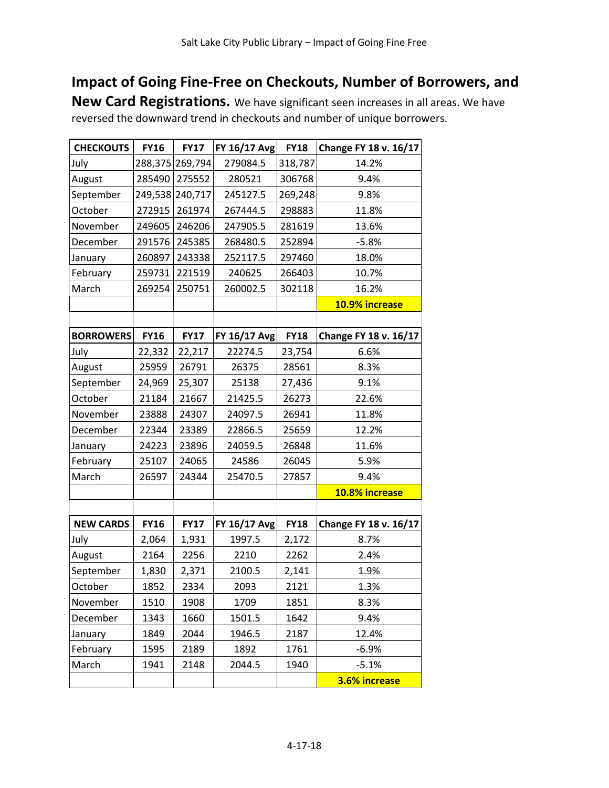## **Impact of Going Fine-Free on Checkouts, Number of Borrowers, and**

**New Card Registrations.** We have significant seen increases in all areas. We have reversed the downward trend in checkouts and number of unique borrowers.

| <b>CHECKOUTS</b> | <b>FY16</b> | <b>FY17</b> | FY 16/17 Avg        | <b>FY18</b>   | Change FY 18 v. 16/17 |  |
|------------------|-------------|-------------|---------------------|---------------|-----------------------|--|
| July             | 288,375     | 269,794     | 279084.5<br>318,787 |               | 14.2%                 |  |
| August           | 285490      | 275552      | 306768<br>280521    |               | 9.4%                  |  |
| September        | 249,538     | 240,717     | 245127.5<br>269,248 |               | 9.8%                  |  |
| October          | 272915      | 261974      | 267444.5            | 298883        | 11.8%                 |  |
| November         | 249605      | 246206      | 247905.5            | 281619        | 13.6%                 |  |
| December         | 291576      | 245385      | 268480.5            | 252894        | $-5.8%$               |  |
| January          | 260897      | 243338      | 252117.5<br>297460  |               | 18.0%                 |  |
| February         | 259731      | 221519      | 240625<br>266403    |               | 10.7%                 |  |
| March            | 269254      | 250751      | 260002.5<br>302118  |               | 16.2%                 |  |
|                  |             |             |                     |               | 10.9% increase        |  |
|                  |             |             |                     |               |                       |  |
| <b>BORROWERS</b> | <b>FY16</b> | <b>FY17</b> | FY 16/17 Avg        | <b>FY18</b>   | Change FY 18 v. 16/17 |  |
| July             | 22,332      | 22,217      | 22274.5             | 23,754        | 6.6%                  |  |
| August           | 25959       | 26791       | 26375               | 28561         | 8.3%                  |  |
| September        | 24,969      | 25,307      | 25138               | 27,436        | 9.1%                  |  |
| October          | 21184       | 21667       | 21425.5             | 26273         | 22.6%                 |  |
| November         | 23888       | 24307       | 24097.5             | 26941         | 11.8%                 |  |
| December         | 22344       | 23389       | 22866.5             | 25659         | 12.2%                 |  |
| January          | 24223       | 23896       | 24059.5             | 26848         | 11.6%                 |  |
| February         | 25107       | 24065       | 24586               | 26045<br>5.9% |                       |  |
| March            | 26597       | 24344       | 25470.5             | 27857         | 9.4%                  |  |
|                  |             |             |                     |               | 10.8% increase        |  |
|                  |             |             |                     |               |                       |  |
| <b>NEW CARDS</b> | <b>FY16</b> | <b>FY17</b> | FY 16/17 Avg        | <b>FY18</b>   | Change FY 18 v. 16/17 |  |
| July             | 2,064       | 1,931       | 1997.5              | 2,172         | 8.7%                  |  |
| August           | 2164        | 2256        | 2210                | 2262          | 2.4%                  |  |
| September        | 1,830       | 2,371       | 2100.5              | 2,141         | 1.9%                  |  |
| October          | 1852        | 2334        | 2093                | 2121          | 1.3%                  |  |
| November         | 1510        | 1908        | 1709                | 1851          | 8.3%                  |  |
| December         | 1343        | 1660        | 1501.5              | 1642          | 9.4%                  |  |
| January          | 1849        | 2044        | 1946.5              | 2187          | 12.4%                 |  |
| February         | 1595        | 2189        | 1892                | 1761          | $-6.9%$               |  |
| March            | 1941        | 2148        | 2044.5              | 1940          | $-5.1%$               |  |
|                  |             |             |                     |               | 3.6% increase         |  |